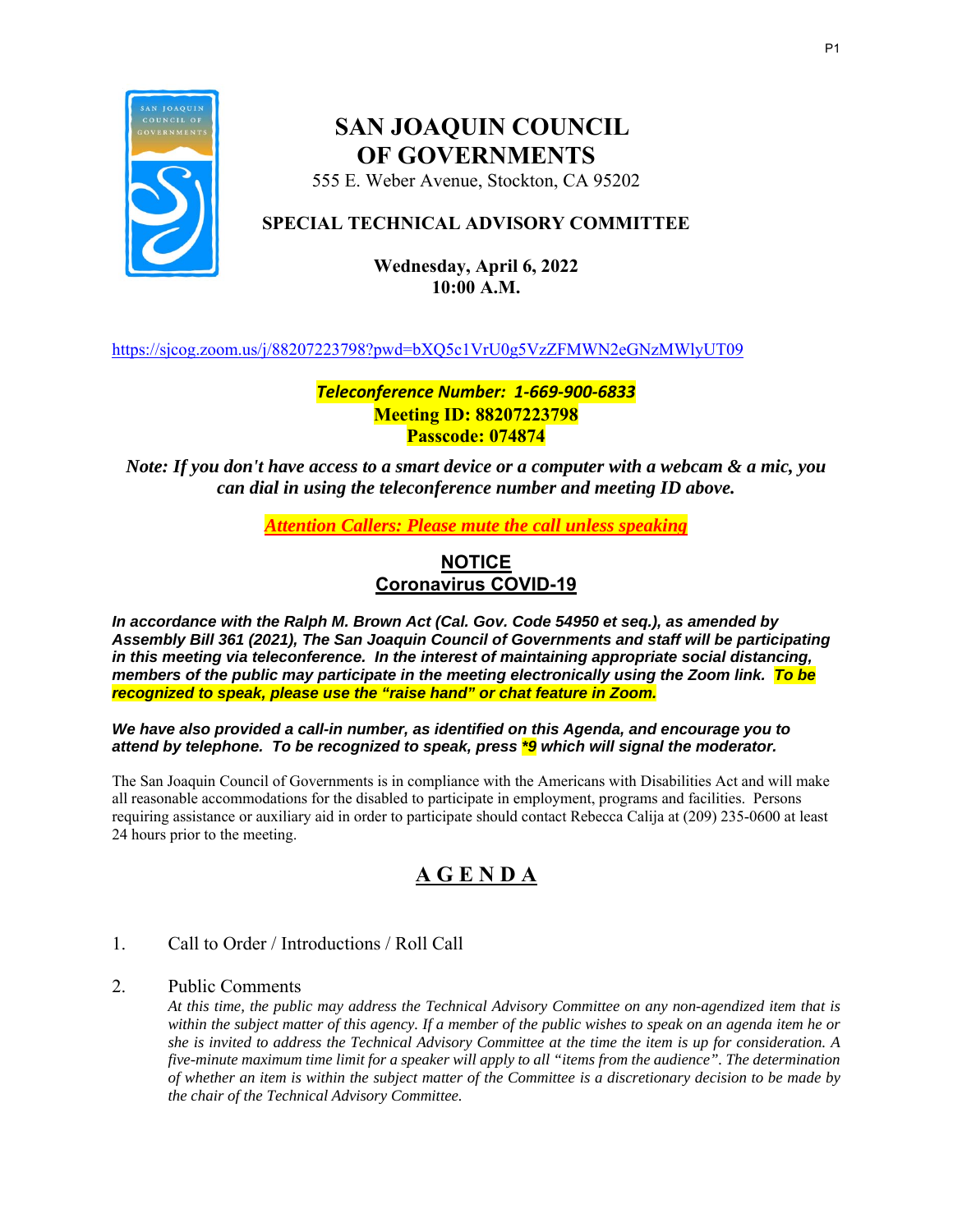

## **SAN JOAQUIN COUNCIL OF GOVERNMENTS**

555 E. Weber Avenue, Stockton, CA 95202

## **SPECIAL TECHNICAL ADVISORY COMMITTEE**

## **Wednesday, April 6, 2022 10:00 A.M.**

https://sjcog.zoom.us/j/88207223798?pwd=bXQ5c1VrU0g5VzZFMWN2eGNzMWlyUT09

## *Teleconference Number: 1‐669‐900‐6833*  **Meeting ID: 88207223798 Passcode: 074874**

*Note: If you don't have access to a smart device or a computer with a webcam & a mic, you can dial in using the teleconference number and meeting ID above.* 

*Attention Callers: Please mute the call unless speaking* 

## **NOTICE Coronavirus COVID-19**

*In accordance with the Ralph M. Brown Act (Cal. Gov. Code 54950 et seq.), as amended by Assembly Bill 361 (2021), The San Joaquin Council of Governments and staff will be participating in this meeting via teleconference. In the interest of maintaining appropriate social distancing, members of the public may participate in the meeting electronically using the Zoom link. To be recognized to speak, please use the "raise hand" or chat feature in Zoom.* 

*We have also provided a call-in number, as identified on this Agenda, and encourage you to attend by telephone. To be recognized to speak, press \*9 which will signal the moderator.* 

The San Joaquin Council of Governments is in compliance with the Americans with Disabilities Act and will make all reasonable accommodations for the disabled to participate in employment, programs and facilities. Persons requiring assistance or auxiliary aid in order to participate should contact Rebecca Calija at (209) 235-0600 at least 24 hours prior to the meeting.

## **A G E N D A**

## 1. Call to Order / Introductions / Roll Call

### 2. Public Comments

*At this time, the public may address the Technical Advisory Committee on any non-agendized item that is within the subject matter of this agency. If a member of the public wishes to speak on an agenda item he or she is invited to address the Technical Advisory Committee at the time the item is up for consideration. A five-minute maximum time limit for a speaker will apply to all "items from the audience". The determination of whether an item is within the subject matter of the Committee is a discretionary decision to be made by the chair of the Technical Advisory Committee.*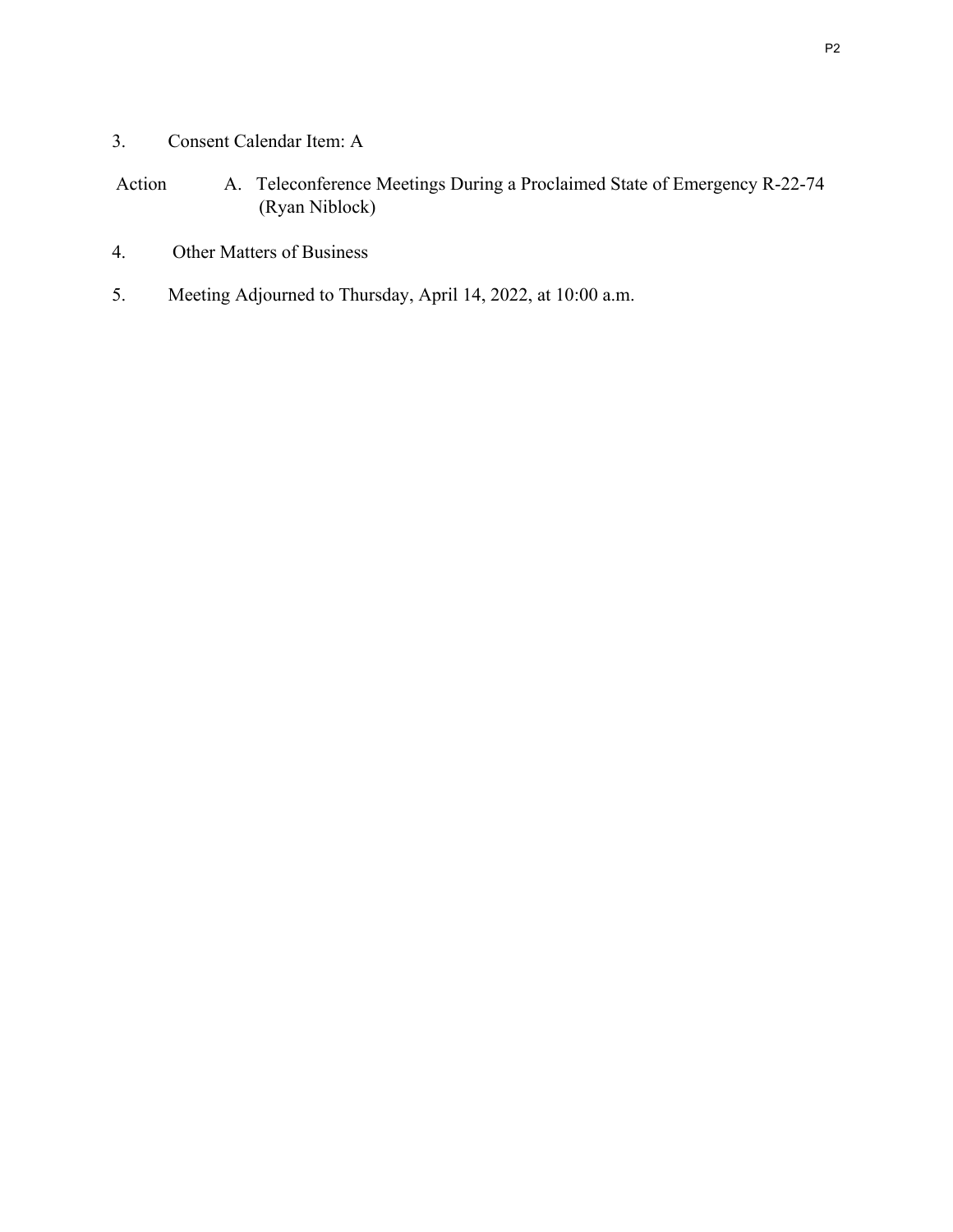3. Consent Calendar Item: A

## Action A. Teleconference Meetings During a Proclaimed State of Emergency R-22-74 (Ryan Niblock)

- 4. Other Matters of Business
- 5. Meeting Adjourned to Thursday, April 14, 2022, at 10:00 a.m.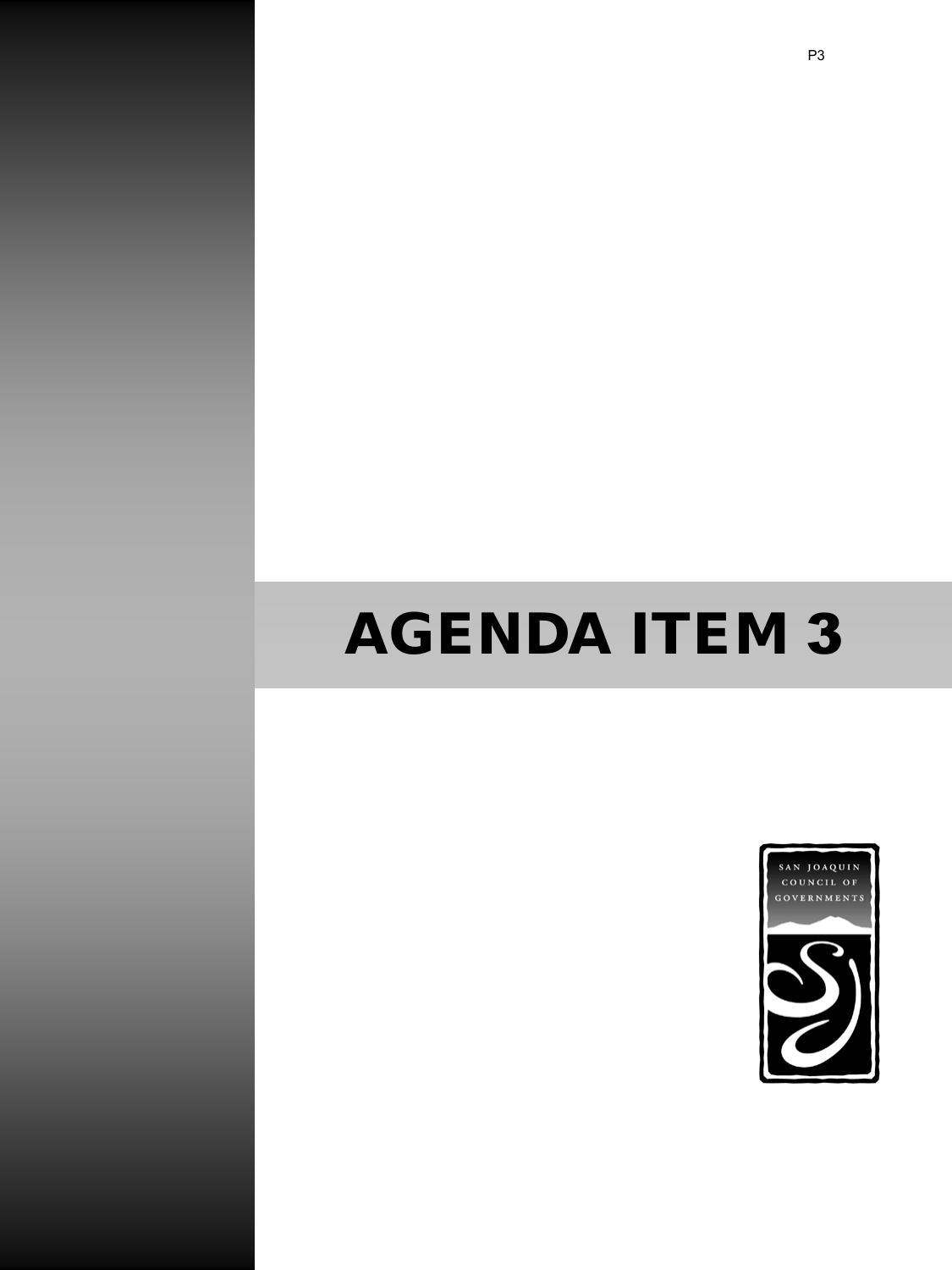# AGENDA ITEM 3

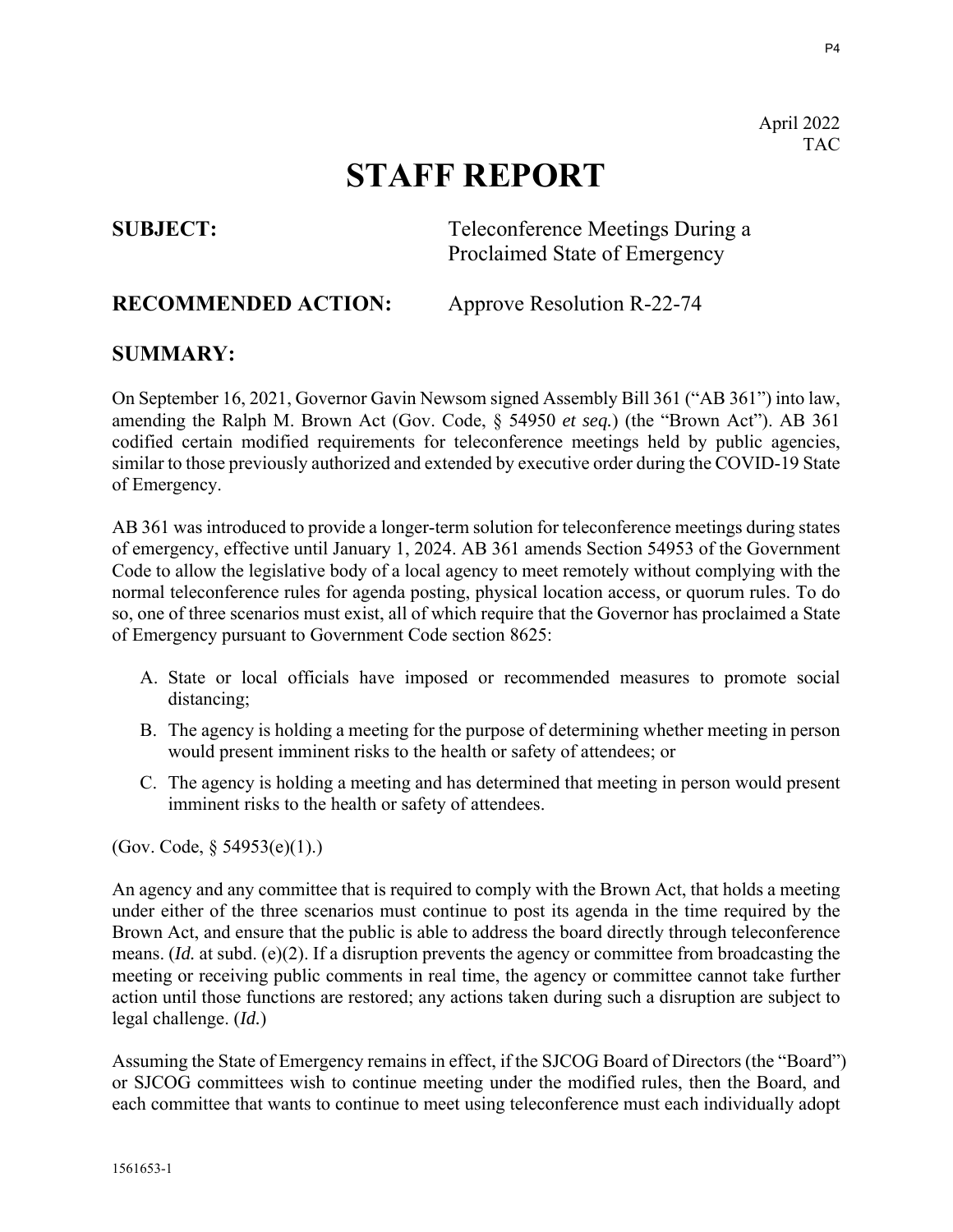April 2022 **TAC** 

## **STAFF REPORT**

**SUBJECT:** Teleconference Meetings During a Proclaimed State of Emergency

## **RECOMMENDED ACTION:** Approve Resolution R-22-74

## **SUMMARY:**

On September 16, 2021, Governor Gavin Newsom signed Assembly Bill 361 ("AB 361") into law, amending the Ralph M. Brown Act (Gov. Code, § 54950 *et seq.*) (the "Brown Act"). AB 361 codified certain modified requirements for teleconference meetings held by public agencies, similar to those previously authorized and extended by executive order during the COVID-19 State of Emergency.

AB 361 was introduced to provide a longer-term solution for teleconference meetings during states of emergency, effective until January 1, 2024. AB 361 amends Section 54953 of the Government Code to allow the legislative body of a local agency to meet remotely without complying with the normal teleconference rules for agenda posting, physical location access, or quorum rules. To do so, one of three scenarios must exist, all of which require that the Governor has proclaimed a State of Emergency pursuant to Government Code section 8625:

- A. State or local officials have imposed or recommended measures to promote social distancing;
- B. The agency is holding a meeting for the purpose of determining whether meeting in person would present imminent risks to the health or safety of attendees; or
- C. The agency is holding a meeting and has determined that meeting in person would present imminent risks to the health or safety of attendees.

(Gov. Code, § 54953(e)(1).)

An agency and any committee that is required to comply with the Brown Act, that holds a meeting under either of the three scenarios must continue to post its agenda in the time required by the Brown Act, and ensure that the public is able to address the board directly through teleconference means. (*Id.* at subd. (e)(2). If a disruption prevents the agency or committee from broadcasting the meeting or receiving public comments in real time, the agency or committee cannot take further action until those functions are restored; any actions taken during such a disruption are subject to legal challenge. (*Id.*)

Assuming the State of Emergency remains in effect, if the SJCOG Board of Directors (the "Board") or SJCOG committees wish to continue meeting under the modified rules, then the Board, and each committee that wants to continue to meet using teleconference must each individually adopt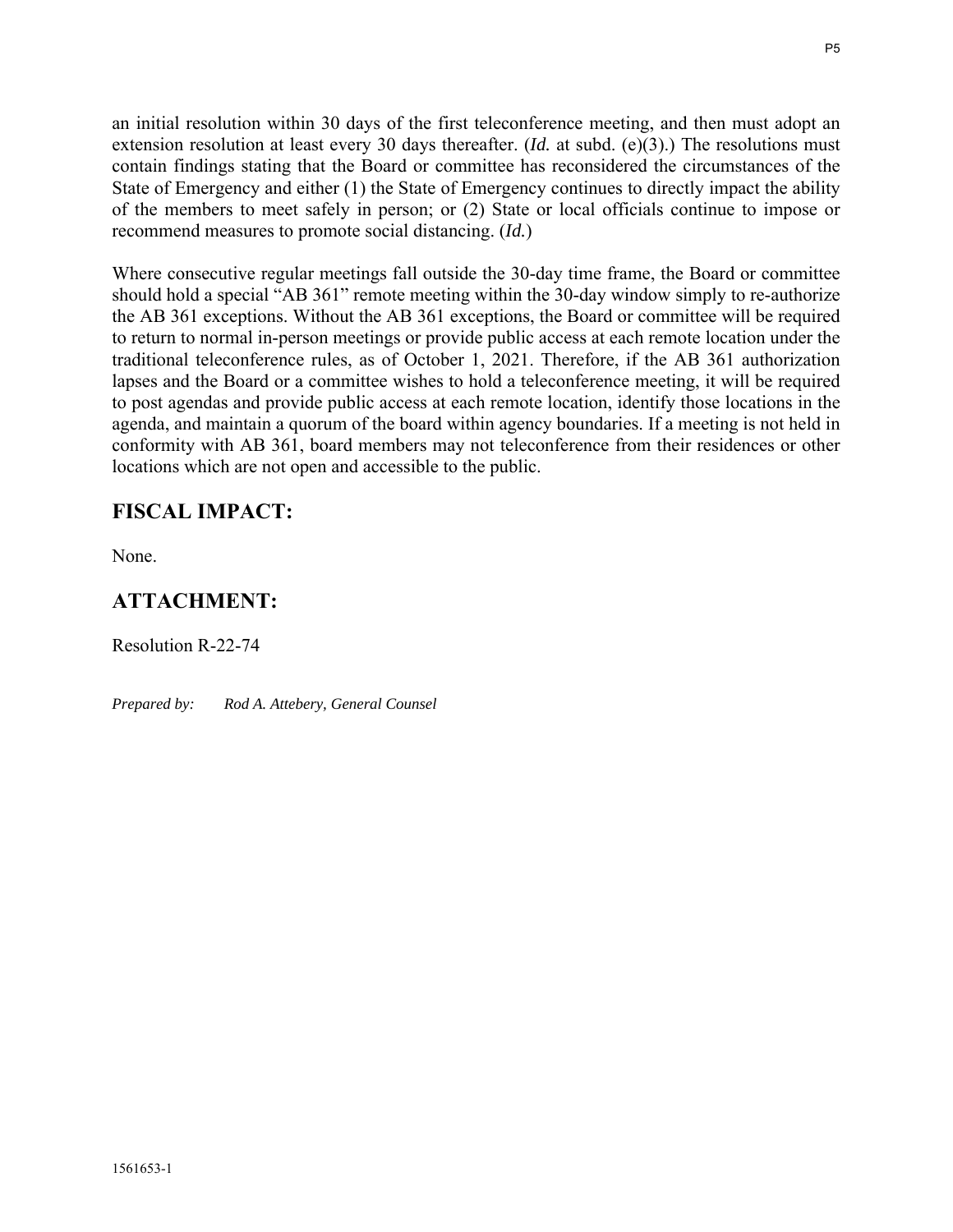an initial resolution within 30 days of the first teleconference meeting, and then must adopt an extension resolution at least every 30 days thereafter. (*Id.* at subd. (e)(3).) The resolutions must contain findings stating that the Board or committee has reconsidered the circumstances of the State of Emergency and either (1) the State of Emergency continues to directly impact the ability of the members to meet safely in person; or (2) State or local officials continue to impose or recommend measures to promote social distancing. (*Id.*)

Where consecutive regular meetings fall outside the 30-day time frame, the Board or committee should hold a special "AB 361" remote meeting within the 30-day window simply to re-authorize the AB 361 exceptions. Without the AB 361 exceptions, the Board or committee will be required to return to normal in-person meetings or provide public access at each remote location under the traditional teleconference rules, as of October 1, 2021. Therefore, if the AB 361 authorization lapses and the Board or a committee wishes to hold a teleconference meeting, it will be required to post agendas and provide public access at each remote location, identify those locations in the agenda, and maintain a quorum of the board within agency boundaries. If a meeting is not held in conformity with AB 361, board members may not teleconference from their residences or other locations which are not open and accessible to the public.

## **FISCAL IMPACT:**

None.

## **ATTACHMENT:**

Resolution R-22-74

*Prepared by: Rod A. Attebery, General Counsel*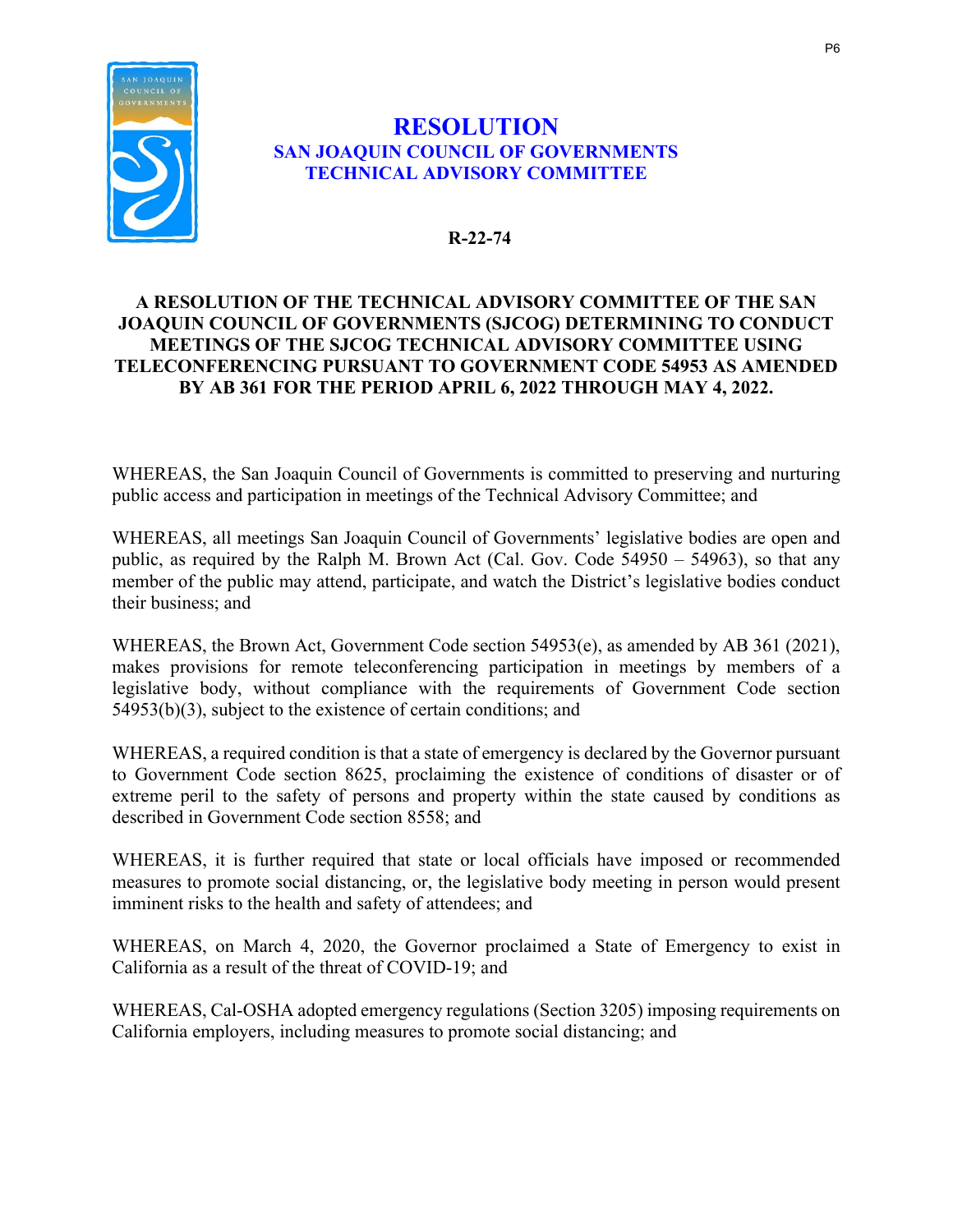

## **RESOLUTION SAN JOAQUIN COUNCIL OF GOVERNMENTS TECHNICAL ADVISORY COMMITTEE**

## **R-22-74**

## **A RESOLUTION OF THE TECHNICAL ADVISORY COMMITTEE OF THE SAN JOAQUIN COUNCIL OF GOVERNMENTS (SJCOG) DETERMINING TO CONDUCT MEETINGS OF THE SJCOG TECHNICAL ADVISORY COMMITTEE USING TELECONFERENCING PURSUANT TO GOVERNMENT CODE 54953 AS AMENDED BY AB 361 FOR THE PERIOD APRIL 6, 2022 THROUGH MAY 4, 2022.**

WHEREAS, the San Joaquin Council of Governments is committed to preserving and nurturing public access and participation in meetings of the Technical Advisory Committee; and

WHEREAS, all meetings San Joaquin Council of Governments' legislative bodies are open and public, as required by the Ralph M. Brown Act (Cal. Gov. Code 54950 – 54963), so that any member of the public may attend, participate, and watch the District's legislative bodies conduct their business; and

WHEREAS, the Brown Act, Government Code section 54953(e), as amended by AB 361 (2021), makes provisions for remote teleconferencing participation in meetings by members of a legislative body, without compliance with the requirements of Government Code section 54953(b)(3), subject to the existence of certain conditions; and

WHEREAS, a required condition is that a state of emergency is declared by the Governor pursuant to Government Code section 8625, proclaiming the existence of conditions of disaster or of extreme peril to the safety of persons and property within the state caused by conditions as described in Government Code section 8558; and

WHEREAS, it is further required that state or local officials have imposed or recommended measures to promote social distancing, or, the legislative body meeting in person would present imminent risks to the health and safety of attendees; and

WHEREAS, on March 4, 2020, the Governor proclaimed a State of Emergency to exist in California as a result of the threat of COVID-19; and

WHEREAS, Cal-OSHA adopted emergency regulations (Section 3205) imposing requirements on California employers, including measures to promote social distancing; and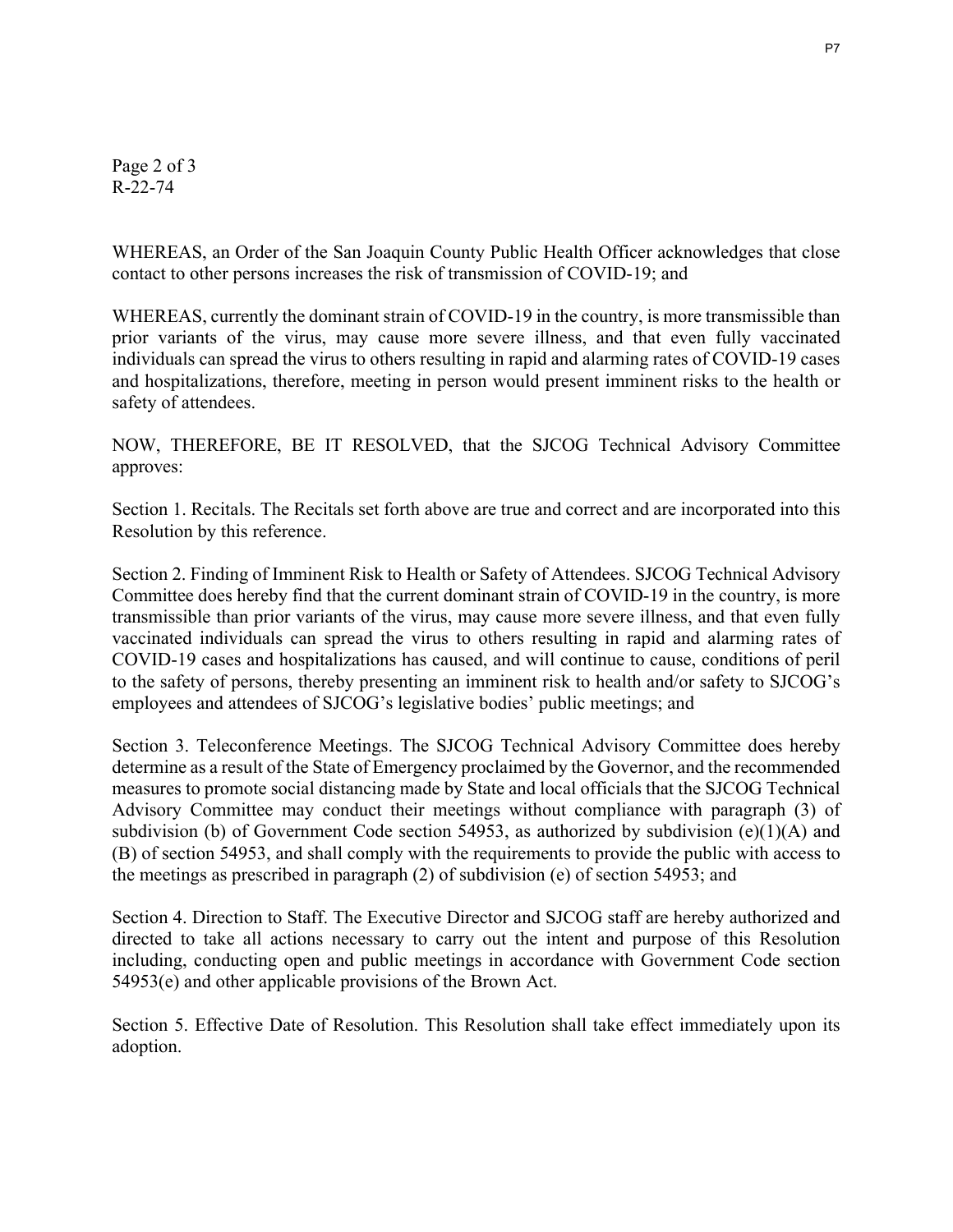Page 2 of 3 R-22-74

WHEREAS, an Order of the San Joaquin County Public Health Officer acknowledges that close contact to other persons increases the risk of transmission of COVID-19; and

WHEREAS, currently the dominant strain of COVID-19 in the country, is more transmissible than prior variants of the virus, may cause more severe illness, and that even fully vaccinated individuals can spread the virus to others resulting in rapid and alarming rates of COVID-19 cases and hospitalizations, therefore, meeting in person would present imminent risks to the health or safety of attendees.

NOW, THEREFORE, BE IT RESOLVED, that the SJCOG Technical Advisory Committee approves:

Section 1. Recitals. The Recitals set forth above are true and correct and are incorporated into this Resolution by this reference.

Section 2. Finding of Imminent Risk to Health or Safety of Attendees. SJCOG Technical Advisory Committee does hereby find that the current dominant strain of COVID-19 in the country, is more transmissible than prior variants of the virus, may cause more severe illness, and that even fully vaccinated individuals can spread the virus to others resulting in rapid and alarming rates of COVID-19 cases and hospitalizations has caused, and will continue to cause, conditions of peril to the safety of persons, thereby presenting an imminent risk to health and/or safety to SJCOG's employees and attendees of SJCOG's legislative bodies' public meetings; and

Section 3. Teleconference Meetings. The SJCOG Technical Advisory Committee does hereby determine as a result of the State of Emergency proclaimed by the Governor, and the recommended measures to promote social distancing made by State and local officials that the SJCOG Technical Advisory Committee may conduct their meetings without compliance with paragraph (3) of subdivision (b) of Government Code section 54953, as authorized by subdivision  $(e)(1)(A)$  and (B) of section 54953, and shall comply with the requirements to provide the public with access to the meetings as prescribed in paragraph (2) of subdivision (e) of section 54953; and

Section 4. Direction to Staff. The Executive Director and SJCOG staff are hereby authorized and directed to take all actions necessary to carry out the intent and purpose of this Resolution including, conducting open and public meetings in accordance with Government Code section 54953(e) and other applicable provisions of the Brown Act.

Section 5. Effective Date of Resolution. This Resolution shall take effect immediately upon its adoption.